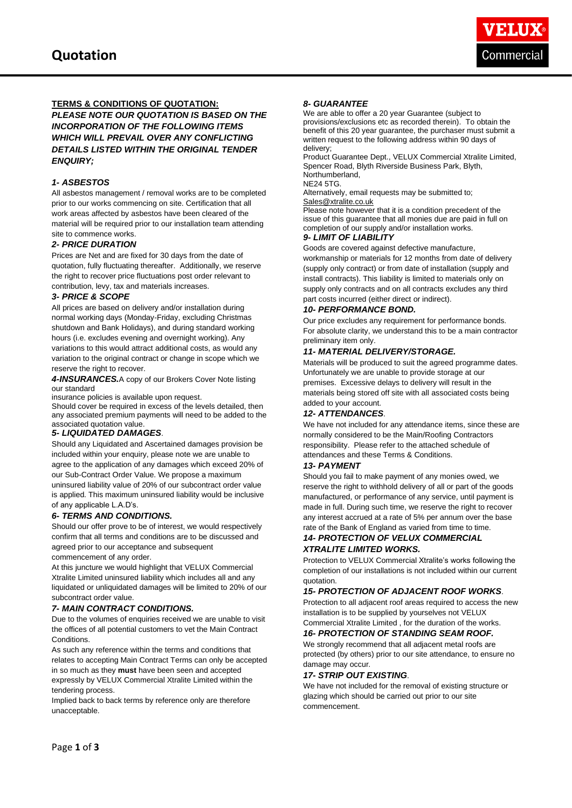

#### **TERMS & CONDITIONS OF QUOTATION:**

*PLEASE NOTE OUR QUOTATION IS BASED ON THE INCORPORATION OF THE FOLLOWING ITEMS WHICH WILL PREVAIL OVER ANY CONFLICTING DETAILS LISTED WITHIN THE ORIGINAL TENDER ENQUIRY;* 

#### *1- ASBESTOS*

All asbestos management / removal works are to be completed prior to our works commencing on site. Certification that all work areas affected by asbestos have been cleared of the material will be required prior to our installation team attending site to commence works.

#### *2- PRICE DURATION*

Prices are Net and are fixed for 30 days from the date of quotation, fully fluctuating thereafter. Additionally, we reserve the right to recover price fluctuations post order relevant to contribution, levy, tax and materials increases.

#### *3- PRICE & SCOPE*

All prices are based on delivery and/or installation during normal working days (Monday-Friday, excluding Christmas shutdown and Bank Holidays), and during standard working hours (i.e. excludes evening and overnight working). Any variations to this would attract additional costs, as would any variation to the original contract or change in scope which we reserve the right to recover.

*4-INSURANCES.*A copy of our Brokers Cover Note listing our standard

insurance policies is available upon request.

Should cover be required in excess of the levels detailed, then any associated premium payments will need to be added to the associated quotation value.

#### *5- LIQUIDATED DAMAGES*.

Should any Liquidated and Ascertained damages provision be included within your enquiry, please note we are unable to agree to the application of any damages which exceed 20% of our Sub-Contract Order Value. We propose a maximum uninsured liability value of 20% of our subcontract order value is applied. This maximum uninsured liability would be inclusive of any applicable L.A.D's.

#### *6- TERMS AND CONDITIONS.*

Should our offer prove to be of interest, we would respectively confirm that all terms and conditions are to be discussed and agreed prior to our acceptance and subsequent commencement of any order.

At this juncture we would highlight that VELUX Commercial Xtralite Limited uninsured liability which includes all and any liquidated or unliquidated damages will be limited to 20% of our subcontract order value.

#### *7- MAIN CONTRACT CONDITIONS.*

Due to the volumes of enquiries received we are unable to visit the offices of all potential customers to vet the Main Contract **Conditions** 

As such any reference within the terms and conditions that relates to accepting Main Contract Terms can only be accepted in so much as they **must** have been seen and accepted expressly by VELUX Commercial Xtralite Limited within the tendering process.

Implied back to back terms by reference only are therefore unacceptable.

#### *8- GUARANTEE*

We are able to offer a 20 year Guarantee (subject to provisions/exclusions etc as recorded therein). To obtain the benefit of this 20 year guarantee, the purchaser must submit a written request to the following address within 90 days of delivery;

Product Guarantee Dept., VELUX Commercial Xtralite Limited, Spencer Road, Blyth Riverside Business Park, Blyth, Northumberland,

NE24 5TG.

Alternatively, email requests may be submitted to; [Sales@xtralite.co.uk](mailto:Sales@xtralite.co.uk)

Please note however that it is a condition precedent of the issue of this guarantee that all monies due are paid in full on completion of our supply and/or installation works. *9- LIMIT OF LIABILITY*

Goods are covered against defective manufacture, workmanship or materials for 12 months from date of delivery (supply only contract) or from date of installation (supply and install contracts). This liability is limited to materials only on supply only contracts and on all contracts excludes any third part costs incurred (either direct or indirect).

#### *10- PERFORMANCE BOND.*

Our price excludes any requirement for performance bonds. For absolute clarity, we understand this to be a main contractor preliminary item only.

#### *11- MATERIAL DELIVERY/STORAGE.*

Materials will be produced to suit the agreed programme dates. Unfortunately we are unable to provide storage at our premises. Excessive delays to delivery will result in the materials being stored off site with all associated costs being added to your account.

#### *12- ATTENDANCES*.

We have not included for any attendance items, since these are normally considered to be the Main/Roofing Contractors responsibility. Please refer to the attached schedule of attendances and these Terms & Conditions.

#### *13- PAYMENT*

Should you fail to make payment of any monies owed, we reserve the right to withhold delivery of all or part of the goods manufactured, or performance of any service, until payment is made in full. During such time, we reserve the right to recover any interest accrued at a rate of 5% per annum over the base rate of the Bank of England as varied from time to time. *14- PROTECTION OF VELUX COMMERCIAL* 

## *XTRALITE LIMITED WORKS.*

Protection to VELUX Commercial Xtralite's works following the completion of our installations is not included within our current quotation.

#### *15- PROTECTION OF ADJACENT ROOF WORKS*.

Protection to all adjacent roof areas required to access the new installation is to be supplied by yourselves not VELUX Commercial Xtralite Limited , for the duration of the works.

### *16- PROTECTION OF STANDING SEAM ROOF.*

We strongly recommend that all adjacent metal roofs are protected (by others) prior to our site attendance, to ensure no damage may occur.

#### *17- STRIP OUT EXISTING*.

We have not included for the removal of existing structure or glazing which should be carried out prior to our site commencement.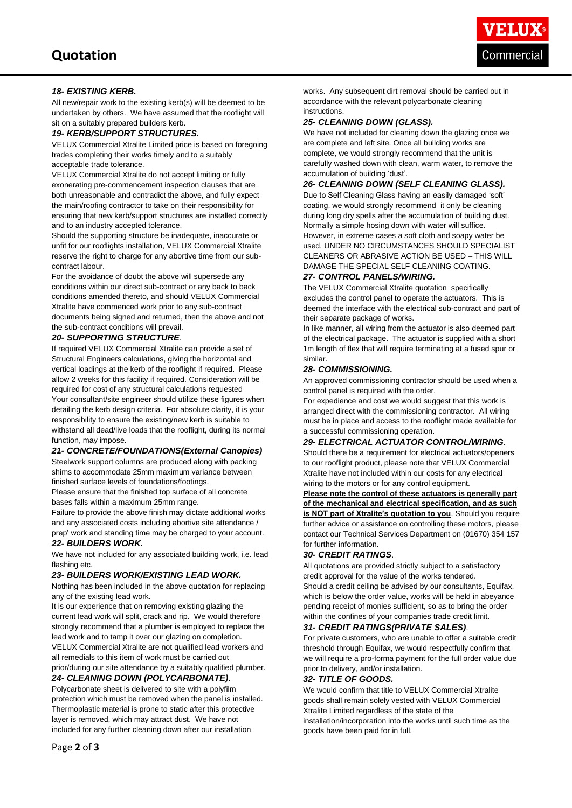#### *18- EXISTING KERB.*

All new/repair work to the existing kerb(s) will be deemed to be undertaken by others. We have assumed that the rooflight will sit on a suitably prepared builders kerb.

#### *19- KERB/SUPPORT STRUCTURES.*

VELUX Commercial Xtralite Limited price is based on foregoing trades completing their works timely and to a suitably acceptable trade tolerance.

VELUX Commercial Xtralite do not accept limiting or fully exonerating pre-commencement inspection clauses that are both unreasonable and contradict the above, and fully expect the main/roofing contractor to take on their responsibility for ensuring that new kerb/support structures are installed correctly and to an industry accepted tolerance.

Should the supporting structure be inadequate, inaccurate or unfit for our rooflights installation, VELUX Commercial Xtralite reserve the right to charge for any abortive time from our subcontract labour.

For the avoidance of doubt the above will supersede any conditions within our direct sub-contract or any back to back conditions amended thereto, and should VELUX Commercial Xtralite have commenced work prior to any sub-contract documents being signed and returned, then the above and not the sub-contract conditions will prevail.

#### *20- SUPPORTING STRUCTURE*.

If required VELUX Commercial Xtralite can provide a set of Structural Engineers calculations, giving the horizontal and vertical loadings at the kerb of the rooflight if required. Please allow 2 weeks for this facility if required. Consideration will be required for cost of any structural calculations requested Your consultant/site engineer should utilize these figures when detailing the kerb design criteria. For absolute clarity, it is your responsibility to ensure the existing/new kerb is suitable to withstand all dead/live loads that the rooflight, during its normal function, may impose.

#### *21- CONCRETE/FOUNDATIONS(External Canopies)*

Steelwork support columns are produced along with packing shims to accommodate 25mm maximum variance between finished surface levels of foundations/footings.

Please ensure that the finished top surface of all concrete bases falls within a maximum 25mm range.

Failure to provide the above finish may dictate additional works and any associated costs including abortive site attendance / prep' work and standing time may be charged to your account.

#### *22- BUILDERS WORK.*

We have not included for any associated building work, i.e. lead flashing etc.

#### *23- BUILDERS WORK/EXISTING LEAD WORK.*

Nothing has been included in the above quotation for replacing any of the existing lead work.

It is our experience that on removing existing glazing the current lead work will split, crack and rip. We would therefore strongly recommend that a plumber is employed to replace the lead work and to tamp it over our glazing on completion. VELUX Commercial Xtralite are not qualified lead workers and all remedials to this item of work must be carried out

prior/during our site attendance by a suitably qualified plumber. *24- CLEANING DOWN (POLYCARBONATE)*.

# Polycarbonate sheet is delivered to site with a polyfilm

protection which must be removed when the panel is installed. Thermoplastic material is prone to static after this protective layer is removed, which may attract dust. We have not included for any further cleaning down after our installation

#### *25- CLEANING DOWN (GLASS).*

We have not included for cleaning down the glazing once we are complete and left site. Once all building works are complete, we would strongly recommend that the unit is carefully washed down with clean, warm water, to remove the accumulation of building 'dust'.

#### *26- CLEANING DOWN (SELF CLEANING GLASS).*

Due to Self Cleaning Glass having an easily damaged 'soft' coating, we would strongly recommend it only be cleaning during long dry spells after the accumulation of building dust. Normally a simple hosing down with water will suffice. However, in extreme cases a soft cloth and soapy water be used. UNDER NO CIRCUMSTANCES SHOULD SPECIALIST CLEANERS OR ABRASIVE ACTION BE USED – THIS WILL DAMAGE THE SPECIAL SELF CLEANING COATING.

#### *27- CONTROL PANELS/WIRING.*

The VELUX Commercial Xtralite quotation specifically excludes the control panel to operate the actuators. This is deemed the interface with the electrical sub-contract and part of their separate package of works.

In like manner, all wiring from the actuator is also deemed part of the electrical package. The actuator is supplied with a short 1m length of flex that will require terminating at a fused spur or similar.

#### *28- COMMISSIONING.*

An approved commissioning contractor should be used when a control panel is required with the order.

For expedience and cost we would suggest that this work is arranged direct with the commissioning contractor. All wiring must be in place and access to the rooflight made available for a successful commissioning operation.

#### *29- ELECTRICAL ACTUATOR CONTROL/WIRING*.

Should there be a requirement for electrical actuators/openers to our rooflight product, please note that VELUX Commercial Xtralite have not included within our costs for any electrical wiring to the motors or for any control equipment.

**Please note the control of these actuators is generally part of the mechanical and electrical specification, and as such is NOT part of Xtralite's quotation to you**. Should you require further advice or assistance on controlling these motors, please contact our Technical Services Department on (01670) 354 157 for further information.

#### *30- CREDIT RATINGS*.

All quotations are provided strictly subject to a satisfactory credit approval for the value of the works tendered. Should a credit ceiling be advised by our consultants, Equifax, which is below the order value, works will be held in abeyance pending receipt of monies sufficient, so as to bring the order within the confines of your companies trade credit limit.

#### *31- CREDIT RATINGS(PRIVATE SALES)*.

For private customers, who are unable to offer a suitable credit threshold through Equifax, we would respectfully confirm that we will require a pro-forma payment for the full order value due prior to delivery, and/or installation.

#### *32- TITLE OF GOODS.*

We would confirm that title to VELUX Commercial Xtralite goods shall remain solely vested with VELUX Commercial Xtralite Limited regardless of the state of the installation/incorporation into the works until such time as the goods have been paid for in full.